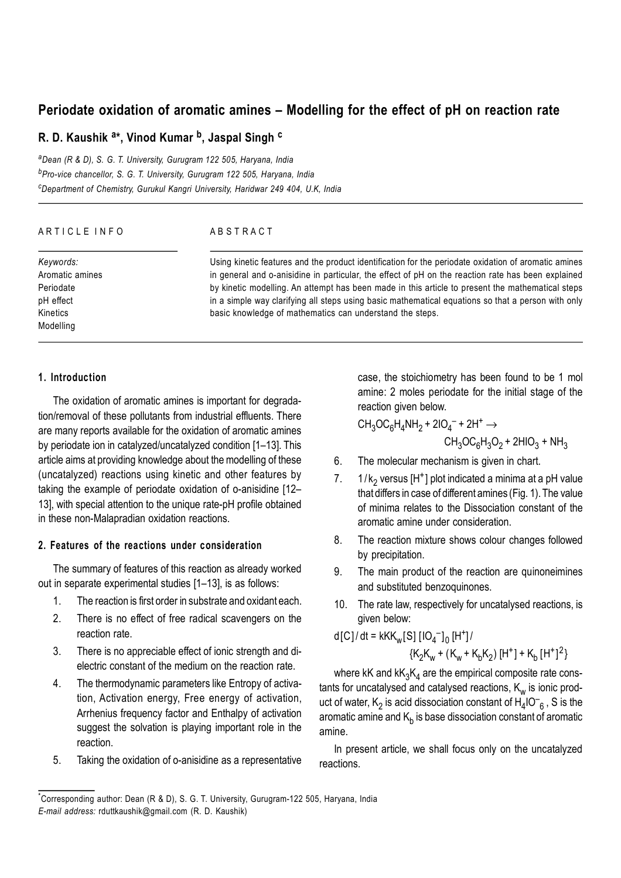# **Periodate oxidation of aromatic amines – Modelling for the effect of pH on reaction rate**

# **R. D. Kaushik <sup>a</sup> \*, Vinod Kumar <sup>b</sup> , Jaspal Singh <sup>c</sup>**

*<sup>a</sup>Dean (R & D), S. G. T. University, Gurugram 122 505, Haryana, India <sup>b</sup>Pro-vice chancellor, S. G. T. University, Gurugram 122 505, Haryana, India <sup>c</sup>Department of Chemistry, Gurukul Kangri University, Haridwar 249 404, U.K, India*

| ARTICLE INFO    | ABSTRACT                                                                                             |
|-----------------|------------------------------------------------------------------------------------------------------|
| Keywords:       | Using kinetic features and the product identification for the periodate oxidation of aromatic amines |
| Aromatic amines | in general and o-anisidine in particular, the effect of pH on the reaction rate has been explained   |
| Periodate       | by kinetic modelling. An attempt has been made in this article to present the mathematical steps     |
| pH effect       | in a simple way clarifying all steps using basic mathematical equations so that a person with only   |
| Kinetics        | basic knowledge of mathematics can understand the steps.                                             |
| Modelling       |                                                                                                      |

## **1. Introduction**

The oxidation of aromatic amines is important for degradation/removal of these pollutants from industrial effluents. There are many reports available for the oxidation of aromatic amines by periodate ion in catalyzed/uncatalyzed condition [1–13]. This article aims at providing knowledge about the modelling of these (uncatalyzed) reactions using kinetic and other features by taking the example of periodate oxidation of o-anisidine [12– 13], with special attention to the unique rate-pH profile obtained in these non-Malapradian oxidation reactions.

# **2. Features of the reactions under consideration**

The summary of features of this reaction as already worked out in separate experimental studies [1–13], is as follows:

- 1. The reaction is first order in substrate and oxidant each.
- 2. There is no effect of free radical scavengers on the reaction rate.
- 3. There is no appreciable effect of ionic strength and dielectric constant of the medium on the reaction rate.
- 4. The thermodynamic parameters like Entropy of activation, Activation energy, Free energy of activation, Arrhenius frequency factor and Enthalpy of activation suggest the solvation is playing important role in the reaction.
- 5. Taking the oxidation of o-anisidine as a representative

case, the stoichiometry has been found to be 1 mol amine: 2 moles periodate for the initial stage of the reaction given below.

$$
CH_3OC_6H_4NH_2 + 2IO_4^- + 2H^+ \rightarrow CH_3OC_6H_3O_2 + 2HIO_3 + NH_3
$$

- 6. The molecular mechanism is given in chart.
- 7.  $1/k_2$  versus [H<sup>+</sup>] plot indicated a minima at a pH value that differs in case of different amines (Fig. 1). The value of minima relates to the Dissociation constant of the aromatic amine under consideration.
- 8. The reaction mixture shows colour changes followed by precipitation.
- 9. The main product of the reaction are quinoneimines and substituted benzoquinones.
- 10. The rate law, respectively for uncatalysed reactions, is given below:

d[C] / dt = kKK<sup>w</sup> [S] [IO<sup>4</sup> – ] 0 [H<sup>+</sup> ] / {K2 Kw + (Kw + K<sup>b</sup> K2 ) [H<sup>+</sup> ] + Kb [H + ] 2 }

where kK and kK $_3$ K $_4$  are the empirical composite rate constants for uncatalysed and catalysed reactions,  $\mathsf{K}_\mathsf{w}$  is ionic product of water,  $\mathsf{K}_2$  is acid dissociation constant of  $\mathsf{H}_4$ IO $\mathsf{T}_6$  , S is the aromatic amine and  $\mathsf{K}_\mathsf{b}$  is base dissociation constant of aromatic amine.

In present article, we shall focus only on the uncatalyzed reactions.

<sup>\*</sup>Corresponding author: Dean (R & D), S. G. T. University, Gurugram-122 505, Haryana, India *E-mail address:* rduttkaushik@gmail.com (R. D. Kaushik)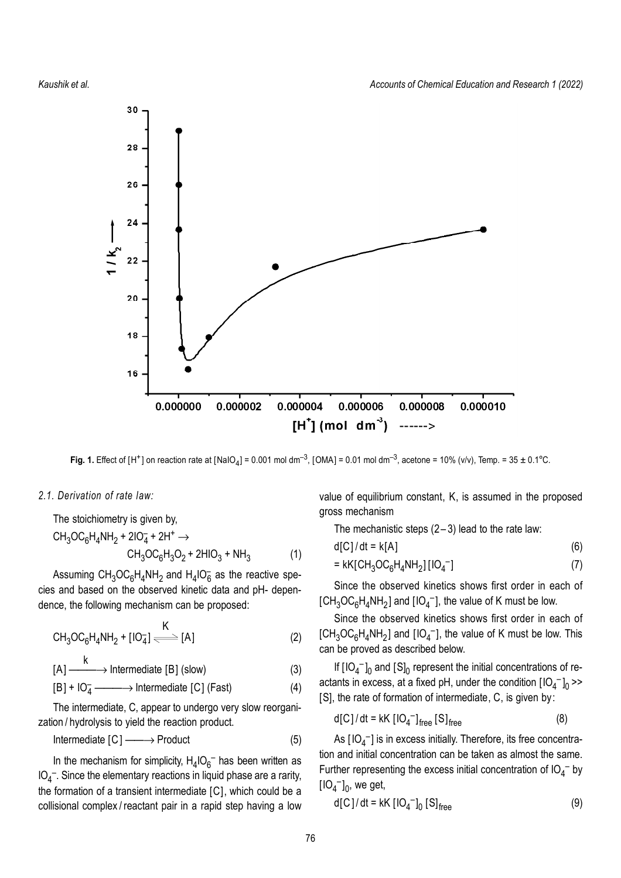

Fig. 1. Effect of [H<sup>+</sup>] on reaction rate at [NaIO<sub>4</sub>] = 0.001 mol dm<sup>-3</sup>, [OMA] = 0.01 mol dm<sup>-3</sup>, acetone = 10% (v/v), Temp. = 35 ± 0.1°C.

#### *2.1. Derivation of rate law:*

The stoichiometry is given by,  
\n
$$
CH_3OC_6H_4NH_2 + 2IO_4^- + 2H^+ \rightarrow CH_3OC_6H_3O_2 + 2HIO_3 + NH_3
$$
\n(1)

Assuming  $CH_3OC_6H_4NH_2$  and  $H_4IO_6^-$  as the reactive species and based on the observed kinetic data and pH- dependence, the following mechanism can be proposed:

$$
CH_3OC_6H_4NH_2 + [IO_4^-] \xrightarrow{K} [A]
$$
 (2)

$$
[A] \xrightarrow{k} \text{Internetiate [B] (slow)} \tag{3}
$$

$$
[B] + IO4 \longrightarrow Intermediate [C] (Fast)
$$
 (4)

The intermediate, C, appear to undergo very slow reorganization / hydrolysis to yield the reaction product.

$$
Intermediate [C] \longrightarrow Product \tag{5}
$$

In the mechanism for simplicity,  $H_4$ IO<sub>6</sub><sup>-</sup> has been written as  $IO_4^-$ . Since the elementary reactions in liquid phase are a rarity, the formation of a transient intermediate [C], which could be a collisional complex / reactant pair in a rapid step having a low value of equilibrium constant, K, is assumed in the proposed gross mechanism

The mechanistic steps  $(2-3)$  lead to the rate law:

$$
d[C]/dt = k[A] \tag{6}
$$

$$
= kK \left[ CH_3OC_6H_4NH_2 \right] \left[ IO_4^- \right] \tag{7}
$$

Since the observed kinetics shows first order in each of  $[\text{CH}_3\text{OC}_6\text{H}_4\text{NH}_2]$  and  $[\text{IO}_4^-]$ , the value of K must be low.

Since the observed kinetics shows first order in each of [CH<sub>3</sub>OC<sub>6</sub>H<sub>4</sub>NH<sub>2</sub>] and [IO<sub>4</sub><sup>-</sup>], the value of K must be low. This can be proved as described below.

If  $[IO_4^-]_0$  and  $[S]_0$  represent the initial concentrations of reactants in excess, at a fixed pH, under the condition  $[IO_4^-]_0$  >> [S], the rate of formation of intermediate, C, is given by:

$$
d[C]/dt = kK [IO4-]free [S]free
$$
 (8)

As  $[IO_4^-]$  is in excess initially. Therefore, its free concentration and initial concentration can be taken as almost the same. Further representing the excess initial concentration of  $IO_4^-$  by  $[IO_4^-]_0$ , we get,

$$
d[C]/dt = kK [IO_4^-]_0 [S]_{free}
$$
 (9)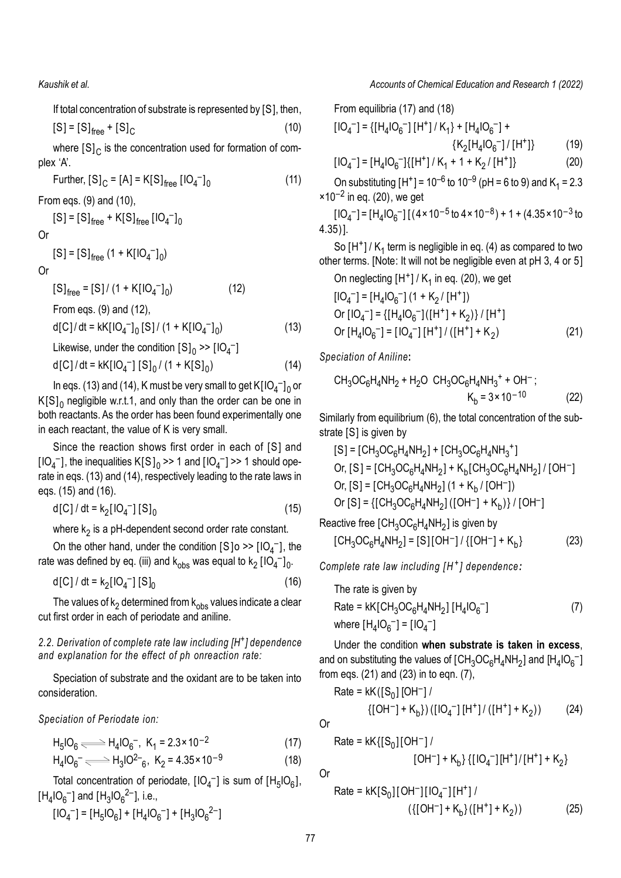If total concentration of substrate is represented by [S], then,  $[S] = [S]_{\text{free}} + [S]_{C}$ (10)

where  $\left[\mathsf{S}\right]_{\mathsf{C}}$  is the concentration used for formation of complex 'A'.

Further,  $[S]_C = [A] = K[S]_{free} [IO_4^-]_0$ (11)

From eqs. (9) and (10),

 $[S] = [S]_{\text{free}} + K[S]_{\text{free}} [IO_4^-]_0$ 

Or

 $[S] = [S]_{\text{free}} (1 + K[IO_{4}^-]_0)$ 

Or

 $[S]_{\text{free}} = [S] / (1 + K[IO_{4}]_{0}$  $(12)$ From eqs. (9) and (12),

$$
d[C]/dt = kK[IO_4^-]_0 [S]/(1 + K[IO_4^-]_0)
$$
 (13)

Likewise, under the condition  $\left[S\right]_0 \gg \left[\left|O_4\right|^{-1}\right]$ 

$$
d[C]/dt = kK[IO_4^-] [S]_0 / (1 + K[S]_0)
$$
 (14)

In eqs. (13) and (14), K must be very small to get  $K[IO_4^-]_0$  or  $\textsf{K}[\textsf{S}]_0$  negligible w.r.t.1, and only than the order can be one in both reactants. As the order has been found experimentally one in each reactant, the value of K is very small.

Since the reaction shows first order in each of [S] and  $[IO_4^-]$ , the inequalities  $K[S]_0 \gg 1$  and  $[IO_4^-] \gg 1$  should operate in eqs. (13) and (14), respectively leading to the rate laws in eqs. (15) and (16).

d[C] / dt =  $k_2$ [IO<sub>4</sub><sup>-</sup>] [S]<sub>0</sub> (15)

where  $\mathsf{k}_2$  is a pH-dependent second order rate constant.

On the other hand, under the condition  $[S]$ o >>  $[IO_4^-]$ , the rate was defined by eq. (iii) and  $\rm k_{obs}$  was equal to  $\rm k_{2}$  [IO<sub>4</sub><sup>-</sup>]<sub>0</sub>.

$$
d[C]/dt = k_2[10_4^-][S]_0
$$
 (16)

The values of  $\mathsf{k}_2$  determined from  $\mathsf{k}_{\text{obs}}$  values indicate a clear cut first order in each of periodate and aniline.

# *2.2. Derivation of complete rate law including [H + ] dependence and explanation for the effect of ph onreaction rate:*

Speciation of substrate and the oxidant are to be taken into consideration.

*Speciation of Periodate ion:*

$$
H_5IO_6 \Longleftrightarrow H_4IO_6^-, K_1 = 2.3 \times 10^{-2}
$$
 (17)

$$
H_4IO_6^- \longrightarrow H_3IO^{2-}6, K_2 = 4.35 \times 10^{-9}
$$
 (18)

Total concentration of periodate,  $[IO_4^-]$  is sum of  $[H_5IO_6]$ ,  $[H_4IO_6^-]$  and  $[H_3IO_6^{2-}]$ , i.e.,

$$
[IO_4^-] = [H_5IO_6] + [H_4IO_6^-] + [H_3IO_6^{2-}]
$$

#### *Kaushik et al. Accounts of Chemical Education and Research 1 (2022)*

From equilibria (17) and (18)

$$
[IO4-] = \{ [H4IO6-] [H+] / K1 \} + [H4IO6-] + \{ K2 [H4IO6-] / [H+] \} \tag{19}
$$

$$
[IO_4^-] = [H_4IO_6^-] \{ [H^+] / K_1 + 1 + K_2 / [H^+] \}
$$
 (20)

On substituting [H<sup>+</sup>] = 10<sup>-6</sup> to 10<sup>-9</sup> (pH = 6 to 9) and K<sub>1</sub> = 2.3  $\times$ 10 $^{-2}$  in eq. (20), we get

 $[IO<sub>4</sub>^-] = [H<sub>4</sub>IO<sub>6</sub>^-] [(4 \times 10^{-5} \text{ to } 4 \times 10^{-8}) + 1 + (4.35 \times 10^{-3} \text{ to }$ 4.35)].

So  $[H^+]$  /  $K_1$  term is negligible in eq. (4) as compared to two other terms. [Note: It will not be negligible even at pH 3, 4 or 5]

On neglecting  $[H^+] / K_1$  in eq. (20), we get

$$
[IO4-] = [H4IO6-] (1 + K2 / [H+])
$$
  
Or [IO<sub>4</sub><sup>-</sup>] = {[H<sub>4</sub>IO<sub>6</sub><sup>-</sup>]([H<sup>+</sup>] + K<sub>2</sub>)} / [H<sup>+</sup>]  
Or [H<sub>4</sub>IO<sub>6</sub><sup>-</sup>] = [IO<sub>4</sub><sup>-</sup>][H<sup>+</sup>]/ ([H<sup>+</sup>] + K<sub>2</sub>) (21)

*Speciation of Aniline***:**

CH3OC<sup>6</sup> H4 NH<sup>2</sup> + H2O CH3OC<sup>6</sup> H4 NH<sup>3</sup> + + OH – ; Kb = 3×10 –10 (22)

Similarly from equilibrium (6), the total concentration of the substrate [S] is given by

$$
[S] = [CH_3OC_6H_4NH_2] + [CH_3OC_6H_4NH_3^+]
$$
  
Or,  $[S] = [CH_3OC_6H_4NH_2] + K_b[CH_3OC_6H_4NH_2]/[OH^-]$   
Or,  $[S] = [CH_3OC_6H_4NH_2] (1 + K_b/[OH^-])$   
Or  $[S] = \{[CH_3OC_6H_4NH_2] ([OH^-] + K_b)\}/[OH^-]$ 

Reactive free [CH $_{3}$ OC $_{6}$ H $_{4}$ NH $_{2}$ ] is given by  $[CH_{3}OC_{6}H_{4}NH_{2}] = [S][OH^{-}] / \{[OH^{-}] + K_{b}$  $(23)$ 

*Complete rate law including [ H <sup>+</sup> ] dependence:*

The rate is given by Rate = kK[CH3OC<sup>6</sup> H4 NH<sup>2</sup> ] [H<sup>4</sup> IO6 – ] (7) where [H<sup>4</sup> IO6 – ] = [IO<sup>4</sup> – ]

Under the condition **when substrate is taken in excess**, and on substituting the values of [CH $_3$ OC $_6$ H $_4$ NH $_2$ ] and [H $_4$ IO $_6$ <sup>–</sup>] from eqs. (21) and (23) in to eqn. (7),

Rate = kK([S<sup>0</sup> ] [OH – ] / {[OH – ] + K<sup>b</sup> }) ([IO<sup>4</sup> – ] [H<sup>+</sup> ] / ([H + ] + K<sup>2</sup> )) (24)

Or

Rate = kK{[S<sup>0</sup> ] [OH – ] / [OH – ] + K<sup>b</sup> } {[ IO<sup>4</sup> – ] [H<sup>+</sup> ] / [H + ] + K<sup>2</sup> }

Or

Rate = kK[S<sup>0</sup> ] [OH – ] [ IO<sup>4</sup> – ] [H + ] / ({[OH – ] + K<sup>b</sup> } ([H + ] + K<sup>2</sup> )) (25)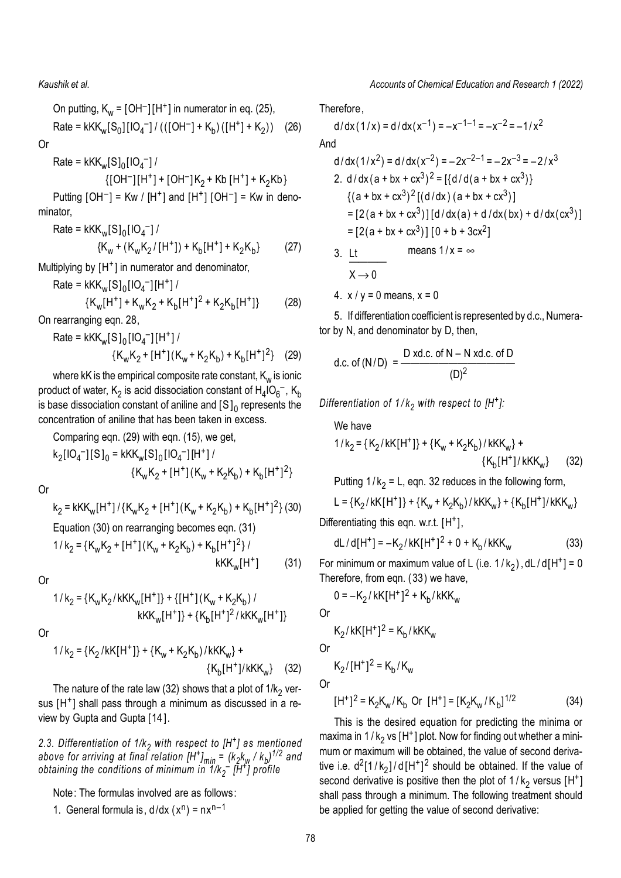On putting, 
$$
K_w = [OH^-][H^+]
$$
 in numerator in eq. (25),  
Rate = kKK<sub>w</sub>[S<sub>0</sub>][IO<sub>4</sub><sup>-</sup>]/(([OH<sup>-</sup>] + K<sub>b</sub>)([H<sup>+</sup>] + K<sub>2</sub>)) (26)

Or

$$
Rate = kKK_w[S]_0[IO_4^-]/
$$

$$
\{[OH^-][H^+]+[OH^-]K_2+Kb[H^+]+K_2Kb\}
$$

Putting  $[OH^-]$  = Kw /  $[H^+]$  and  $[H^+]$   $[OH^-]$  = Kw in denominator,

Rate = 
$$
kKK_w[S]_0[IO_4^-]/
$$
  
{ $K_w + (K_wK_2/[H^+]) + K_b[H^+] + K_2K_b$ } (27)

Multiplying by [H<sup>+</sup>] in numerator and denominator,

Rate = 
$$
kKK_w[S]_0[IO_4^-][H^+]/
$$
  
{ $K_w[H^+] + K_wK_2 + K_b[H^+]^2 + K_2K_b[H^+]}$  (28)

On rearranging eqn. 28,

Rate = 
$$
kKK_w[S]_0[IO_4^-][H^+]/
$$
  
{ $K_wK_2 + [H^+](K_w + K_2K_b) + K_b[H^+]^2$ } (29)

where kK is the empirical composite rate constant,  $\mathsf{K}_{_{\mathsf{W}}}$  is ionic product of water,  $\mathsf{K}_2$  is acid dissociation constant of  $\mathsf{H}_4 \mathsf{I} \mathsf{O}_6^{-}$ ,  $\mathsf{K}_\mathsf{b}$ is base dissociation constant of aniline and [S $\mathrm{]_0}$  represents the concentration of aniline that has been taken in excess.

Comparing eqn. (29) with eqn. (15), we get,  
\n
$$
k_2[IO_4^-][S]_0 = kKK_w[S]_0[IO_4^-][H^+]/
$$
\n
$$
{K_wK_2 + [H^+](K_w + K_2K_b) + K_b[H^+]^2}
$$

Or

$$
k_2 = kKK_w[H^+] / \{K_wK_2 + [H^+](K_w + K_2K_b) + K_b[H^+]^2\} (30)
$$
  
Equation (30) on rearranging becomes eqn. (31)  

$$
1/k_2 = \{K_wK_2 + [H^+](K_w + K_2K_b) + K_b[H^+]^2\} / \qquad kKK_w[H^+] \qquad (31)
$$

Or

$$
1/k_{2} = {K_{w}K_{2}/kKK_{w}[H^{+}]} + {[H^{+}](K_{w} + K_{2}K_{b})}/
$$

$$
kKK_{w}[H^{+}]} + {K_{b}[H^{+}]^{2}/kKK_{w}[H^{+}]}.
$$

Or

$$
1/k_{2} = \{K_{2}/kK[H^{+}]\} + \{K_{w} + K_{2}K_{b}\}/kKK_{w}\} + \{K_{b}[H^{+}]/kKK_{w}\}
$$
 (32)

The nature of the rate law (32) shows that a plot of 1/k<sub>2</sub> versus [H<sup>+</sup>] shall pass through a minimum as discussed in a review by Gupta and Gupta [14 ].

*2.3. Differentiation of 1/k<sup>2</sup> with respect to [H + ] as mentioned* above for arriving at final relation [H<sup>+</sup>]<sub>min</sub> = (k<sub>2</sub>k<sub>w</sub> / k<sub>b</sub>)<sup>1/2</sup> and *obtaining the conditions of minimum in 1/k<sup>2</sup> – [H + ] profile*

Note: The formulas involved are as follows:

1. General formula is,  $d/dx (x^n) = nx^{n-1}$ 

*Accounts of Chemical Education and Research 1 (2022)*

Therefore,

$$
d/dx(1/x) = d/dx(x^{-1}) = -x^{-1-1} = -x^{-2} = -1/x^2
$$
  
And

$$
d/dx(1/x^{2}) = d/dx(x^{-2}) = -2x^{-2-1} = -2x^{-3} = -2/x^{3}
$$
  
\n2. d/dx(a + bx + cx<sup>3</sup>)<sup>2</sup> = [{d/d(a + bx + cx<sup>3</sup>)}  
\n{(a + bx + cx<sup>3</sup>)<sup>2</sup> [(d/dx) (a + bx + cx<sup>3</sup>)]  
\n= [2(a + bx + cx<sup>3</sup>)][d/dx(a) + d/dx(bx) + d/dx(cx<sup>3</sup>)]  
\n= [2(a + bx + cx<sup>3</sup>)][0 + b + 3cx<sup>2</sup>]  
\n3. Lt means 1/x = ∞

$$
x \rightarrow 0
$$
  
4. x/y = 0 means, x = 0

5. If differentiation coefficient is represented by d.c., Numerator by N, and denominator by D, then,

d.c. of (N/D) = 
$$
\frac{D \text{ xd.c. of N} - N \text{ xd.c. of D}}{(D)^2}
$$

*Differentiation of 1 / k<sup>2</sup> with respect to [H<sup>+</sup> ]:*

We have  
\n
$$
1/k_2 = {K_2 / kK[H^+]} + {K_w + K_2 K_b} / kKK_w
$$
 +  
\n ${K_b[H^+] / kKK_w}$  (32)

Putting 
$$
1/k_2 = L
$$
, eqn. 32 reduces in the following form,

$$
L = {K_2 / kK[H^+] } + {K_w + K_2K_b) / kKK_w} + {K_b[H^+] / kKK_w}
$$

Differentiating this eqn. w.r.t. [H<sup>+</sup>],

$$
dL/d[H^+] = -K_2/kK[H^+]^2 + 0 + K_b/kKK_w
$$
 (33)

For minimum or maximum value of L (i.e.  $1/k_2$ ), dL / d[H<sup>+</sup>] = 0 Therefore, from eqn. (33) we have,

0 =  $-K_2$ / kK[H<sup>+</sup>]<sup>2</sup> + K<sub>b</sub>/kKK<sub>w</sub>

Or

 $(31)$ 

$$
K_2/kK[H^+]^2 = K_b/kKK_w
$$

Or

$$
K_2/[H^+]^2 = K_b/K_w
$$

Or

$$
[H^+]^2 = K_2 K_w / K_b \text{ Or } [H^+] = [K_2 K_w / K_b]^{1/2}
$$
 (34)

This is the desired equation for predicting the minima or maxima in 1 /  $k_2$  vs [H<sup>+</sup>] plot. Now for finding out whether a minimum or maximum will be obtained, the value of second derivative i.e.  $d^2[1/k_2]/d[H^+]^2$  should be obtained. If the value of second derivative is positive then the plot of  $1/k_2$  versus [H<sup>+</sup>] shall pass through a minimum. The following treatment should be applied for getting the value of second derivative: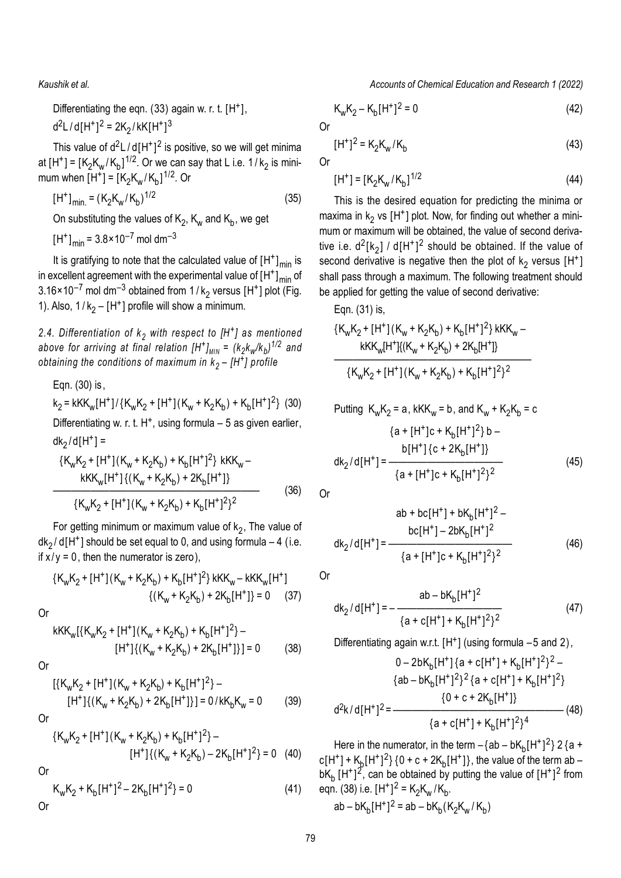Differentiating the eqn.  $(33)$  again w. r. t.  $[H^+]$ , d<sup>2</sup>L/d[H<sup>+</sup>]<sup>2</sup> = 2K<sub>2</sub>/kK[H<sup>+</sup>]<sup>3</sup>

This value of  $d^2L/d[H^*]^2$  is positive, so we will get minima at [H<sup>+</sup>] = [K<sub>2</sub>K<sub>w</sub>/K<sub>b</sub>]<sup>1/2</sup>. Or we can say that L i.e. 1/k<sub>2</sub> is minimum when  $[H^+] = [K_2K_w/K_b]^{1/2}$ . Or

$$
[H^+]_{min.} = (K_2 K_w / K_b)^{1/2}
$$
 (35)

On substituting the values of  $\mathsf{K}_2$ ,  $\mathsf{K}_\mathsf{w}$  and  $\mathsf{K}_\mathsf{b}$ , we get

 $[H^+]_{min}$  = 3.8×10<sup>-7</sup> mol dm<sup>-3</sup>

It is gratifying to note that the calculated value of  $[H^+]_{min}$  is in excellent agreement with the experimental value of  $[H^+]_{min}$  of  $3.16 \times 10^{-7}$  mol dm $^{-3}$  obtained from 1 / k<sub>2</sub> versus [H<sup>+</sup>] plot (Fig. 1). Also,  $1/k_2 - [H^+]$  profile will show a minimum.

*2.4. Differentiation of k<sup>2</sup> with respect to [H<sup>+</sup> ] as mentioned* above for arriving at final relation [H<sup>+</sup>]<sub>MIN</sub> =  $(k_2k_{\sf w}/k_b)^{1/2}$  and *obtaining the conditions of maximum in k2 – [H<sup>+</sup> ] profile*

Eqn. (30) is,  
\n
$$
k_2 = kKK_w[H^+] / {K_wK_2 + [H^+]}(K_w + K_2K_b) + K_b[H^+]^2}
$$
 (30)  
\nDifferentiating w. r. t. H<sup>+</sup>, using formula – 5 as given earlier,  
\n $dk_2/d[H^+] = {K_wK_2 + [H^+]}(K_w + K_2K_b) + K_b[H^+]^2$ } kKK<sub>w</sub>–

$$
\frac{kK_{w}N_{2} + [H^{+}](N_{w} + N_{2}N_{b}) + N_{b}[H^{+}]^{2}}{kKK_{w}[H^{+}](K_{w} + K_{2}K_{b}) + 2K_{b}[H^{+}]} \qquad (36)
$$
\n
$$
\frac{kK_{w}K_{2} + [H^{+}](K_{w} + K_{2}K_{b}) + K_{b}[H^{+}]^{2}}{kK_{w}K_{2} + [H^{+}](K_{w} + K_{2}K_{b}) + K_{b}[H^{+}]^{2}}
$$

For getting minimum or maximum value of  $k_2$ , The value of  $dk_2/d[H^+]$  should be set equal to 0, and using formula – 4 (i.e. if  $x/y = 0$ , then the numerator is zero),

$$
{K_{w}K_{2} + [H^{+}](K_{w} + K_{2}K_{b}) + K_{b}[H^{+}]^{2}} kKK_{w} - kKK_{w}[H^{+}]
$$
  
{ $(K_{w} + K_{2}K_{b}) + 2K_{b}[H^{+}]\} = 0$  (37)

Or

$$
KK_{w}[\{K_{w}K_{2} + [H^{+}](K_{w} + K_{2}K_{b}) + K_{b}[H^{+}]^{2}\} -
$$
  
[H^{+}]\{(K\_{w} + K\_{2}K\_{b}) + 2K\_{b}[H^{+}]\}] = 0 \t(38)

Or

$$
[\{K_w K_2 + [H^+](K_w + K_2 K_b) + K_b [H^+]^2\} -
$$
  
[H^+] $\{(K_w + K_2 K_b) + 2K_b [H^+] \} = 0 / k K_b K_w = 0$  (39)

Or

$$
{K_wK_2 + [H^+](K_w + K_2K_b) + K_b[H^+]^2} -
$$
  
[H^+]{(K\_w + K\_2K\_b) - 2K\_b[H^+]^2} = 0 (40)

Or

$$
K_{w}K_{2} + K_{b}[H^{+}]^{2} - 2K_{b}[H^{+}]^{2} = 0
$$
\nOr

*Kaushik et al. Accounts of Chemical Education and Research 1 (2022)*

$$
K_w K_2 - K_b [H^+]^2 = 0 \tag{42}
$$

Or

$$
[H^+]^2 = K_2 K_w / K_b
$$
 (43)

Or

$$
[H^+] = [K_2 K_w / K_b]^{1/2}
$$
 (44)

This is the desired equation for predicting the minima or maxima in  $k_2$  vs [H<sup>+</sup>] plot. Now, for finding out whether a minimum or maximum will be obtained, the value of second derivative i.e.  $d^2[k_2]$  / d[H<sup>+</sup>]<sup>2</sup> should be obtained. If the value of second derivative is negative then the plot of  $k_2$  versus [H<sup>+</sup>] shall pass through a maximum. The following treatment should be applied for getting the value of second derivative:

Eqn. (31) is,

$$
{K_{w}K_{2}+[H^{+}](K_{w}+K_{2}K_{b})+K_{b}[H^{+}]^{2}} kKK_{w}-
$$
  

$$
kKK_{w}[H^{+}](K_{w}+K_{2}K_{b})+2K_{b}[H^{+}])
$$
  

$$
{K_{w}K_{2}+[H^{+}](K_{w}+K_{2}K_{b})+K_{b}[H^{+}]^{2}}^{2}
$$

Putting 
$$
K_w K_2 = a
$$
,  $kKK_w = b$ , and  $K_w + K_2 K_b = c$   
\n
$$
\{a + [H^+]c + K_b[H^+]^2\} b -
$$
\n
$$
dk_2/d[H^+] = \frac{b[H^+] \{c + 2K_b[H^+] \}}{\{a + [H^+]c + K_b[H^+]^2\}^2}
$$
\n(45)

Or

$$
ab + bc[H^{+}] + bK_{b}[H^{+}]^{2} - bc[H^{+}] - 2bK_{b}[H^{+}]^{2}
$$
  
dk<sub>2</sub>/d[H^{+}] = 
$$
\frac{bc[H^{+}] - 2bK_{b}[H^{+}]^{2}}{\{a + [H^{+}]c + K_{b}[H^{+}]^{2}\}^{2}}
$$
(46)

Or

$$
dk_2/d[H^+] = -\frac{ab - bK_b[H^+]^2}{\{a + c[H^+] + K_b[H^+]^2\}^2}
$$
(47)

Differentiating again w.r.t. [H<sup>+</sup>] (using formula -5 and 2), 0 – 2bK<sub>b</sub>[H<sup>+</sup>]{a + c[H<sup>+</sup>]+ K<sub>b</sub>[H<sup>+</sup>]<sup>2</sup>}<sup>2</sup> –

$$
\{ab - bK_b[H^+]^2\}^2 \{a + c[H^+] + K_b[H^+]^2\}
$$

$$
\{0 + c + 2K_b[H^+] \}
$$

$$
d^2k/d[H^+]^2 = \frac{\{a + c[H^+] + K_b[H^+]^2\}^4}{\{a + c[H^+] + K_b[H^+]^2\}^4}
$$
(48)

Here in the numerator, in the term  $-\{\text{ab} - \text{bK}_{\text{b}}[\text{H}^{+}]^2\}$  2 {a + c[H<sup>+</sup>] + K<sub>b</sub>[H<sup>+</sup>]<sup>2</sup>} {0 + c + 2K<sub>b</sub>[H<sup>+</sup>]}, the value of the term ab – bK<sub>b</sub> [H<sup>+</sup>]<sup>2</sup>, can be obtained by putting the value of [H<sup>+</sup>]<sup>2</sup> from eqn. (38) i.e. [H<sup>+</sup>]<sup>2</sup> = K<sub>2</sub>K<sub>w</sub> /K<sub>b</sub>.  $ab - bK_b[H^+]^2 = ab - bK_b(K_2K_w/K_b)$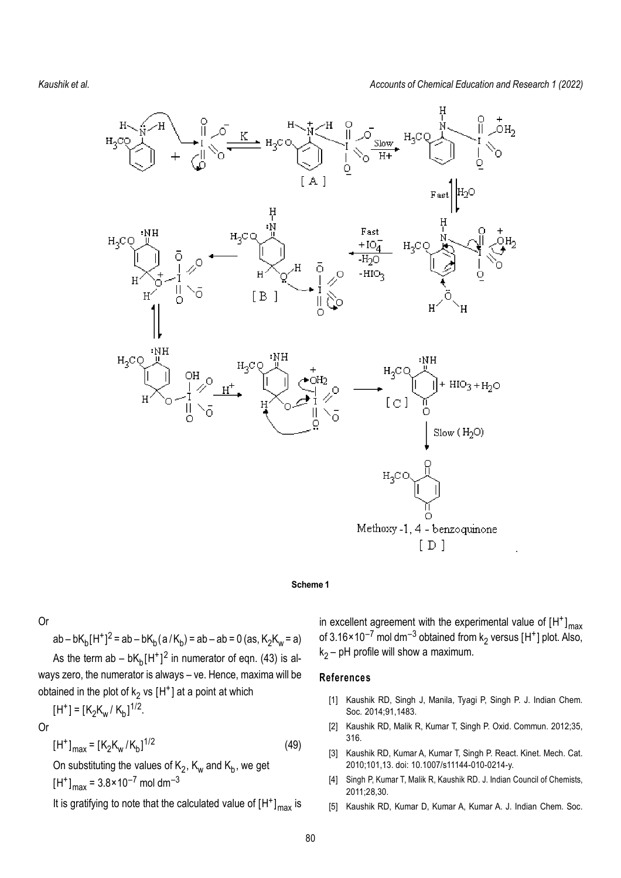*Accounts of Chemical Education and Research 1 (2022)*



#### **Scheme 1**

Or

ab – b $K_b[H^+]^2 = ab - bK_b(a/K_b) = ab - ab = 0$  (as,  $K_2K_w = a$ ) As the term ab – b $K_b[H^+]^2$  in numerator of eqn. (43) is always zero, the numerator is always – ve. Hence, maxima will be obtained in the plot of  $k_2$  vs  $[H^+]$  at a point at which

$$
[H^+] = [K_2 K_w / K_b]^{1/2}.
$$

Or  $[H^+]_{max} = [K_2K_w/K_b]^{1/2}$ (49) On substituting the values of  $\mathsf{K}_2$ ,  $\mathsf{K}_\mathsf{w}$  and  $\mathsf{K}_\mathsf{b}$ , we get

 $[H^+]_{\text{max}} = 3.8 \times 10^{-7} \text{ mol dm}^{-3}$ 

It is gratifying to note that the calculated value of  $[H^+]_{\text{max}}$  is

in excellent agreement with the experimental value of  $\left[\mathsf{H}^{\texttt{+}}\right]_{\text{max}}$ of 3.16×10<sup>–7</sup> mol dm<sup>–3</sup> obtained from k<sub>2</sub> versus [H<sup>+</sup>] plot. Also,  $k<sub>2</sub>$  – pH profile will show a maximum.

### **References**

- [1] Kaushik RD, Singh J, Manila, Tyagi P, Singh P. J. Indian Chem. Soc. 2014;91,1483.
- [2] Kaushik RD, Malik R, Kumar T, Singh P. Oxid. Commun. 2012;35, 316.
- [3] Kaushik RD, Kumar A, Kumar T, Singh P. React. Kinet. Mech. Cat. 2010;101,13. doi: 10.1007/s11144-010-0214-y.
- [4] Singh P, Kumar T, Malik R, Kaushik RD. J. Indian Council of Chemists, 2011;28,30.
- [5] Kaushik RD, Kumar D, Kumar A, Kumar A. J. Indian Chem. Soc.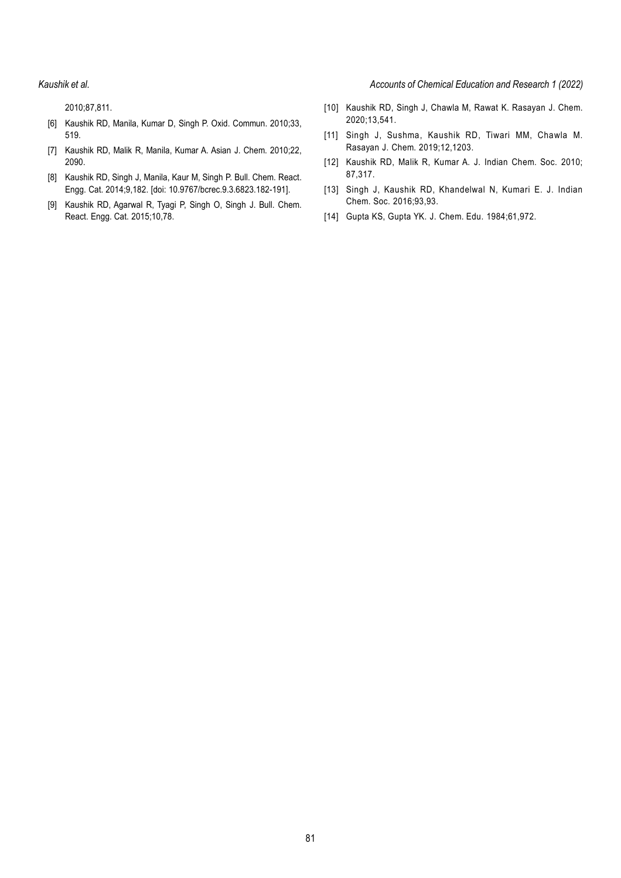*Kaushik et al. Accounts of Chemical Education and Research 1 (2022)*

2010;87,811.

- [6] Kaushik RD, Manila, Kumar D, Singh P. Oxid. Commun. 2010;33, 519.
- [7] Kaushik RD, Malik R, Manila, Kumar A. Asian J. Chem. 2010;22, 2090.
- [8] Kaushik RD, Singh J, Manila, Kaur M, Singh P. Bull. Chem. React. Engg. Cat. 2014;9,182. [doi: 10.9767/bcrec.9.3.6823.182-191].
- [9] Kaushik RD, Agarwal R, Tyagi P, Singh O, Singh J. Bull. Chem. React. Engg. Cat. 2015;10,78.
- [10] Kaushik RD, Singh J, Chawla M, Rawat K. Rasayan J. Chem. 2020;13,541.
- [11] Singh J, Sushma, Kaushik RD, Tiwari MM, Chawla M. Rasayan J. Chem. 2019;12,1203.
- [12] Kaushik RD, Malik R, Kumar A. J. Indian Chem. Soc. 2010; 87,317.
- [13] Singh J, Kaushik RD, Khandelwal N, Kumari E. J. Indian Chem. Soc. 2016;93,93.
- [14] Gupta KS, Gupta YK. J. Chem. Edu. 1984;61,972.